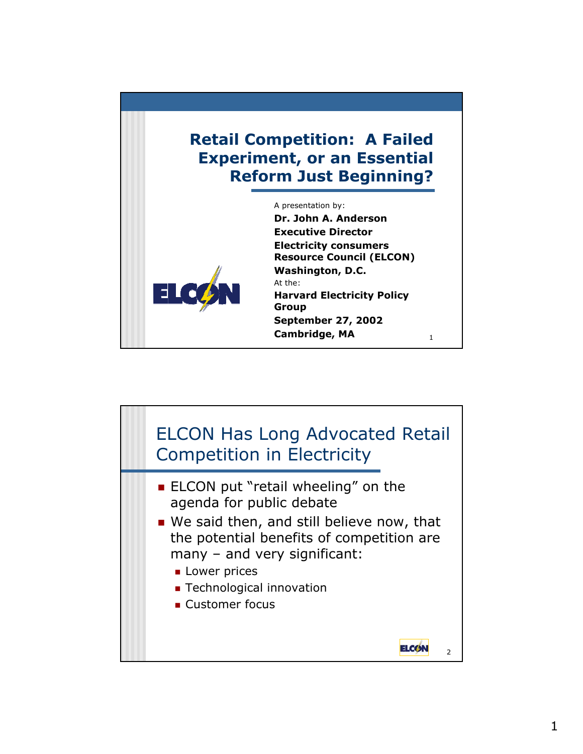

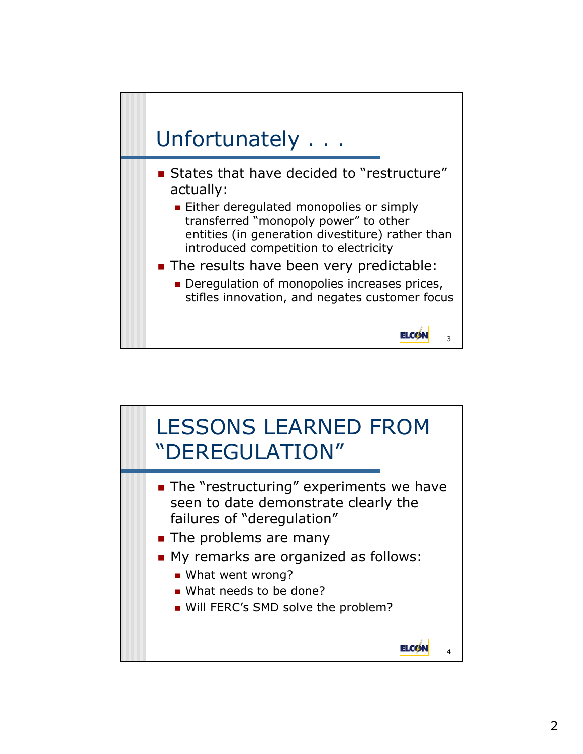

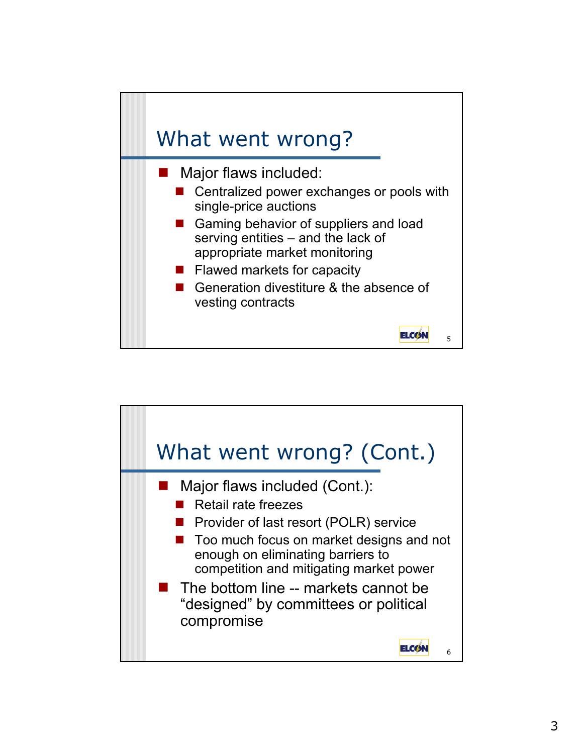

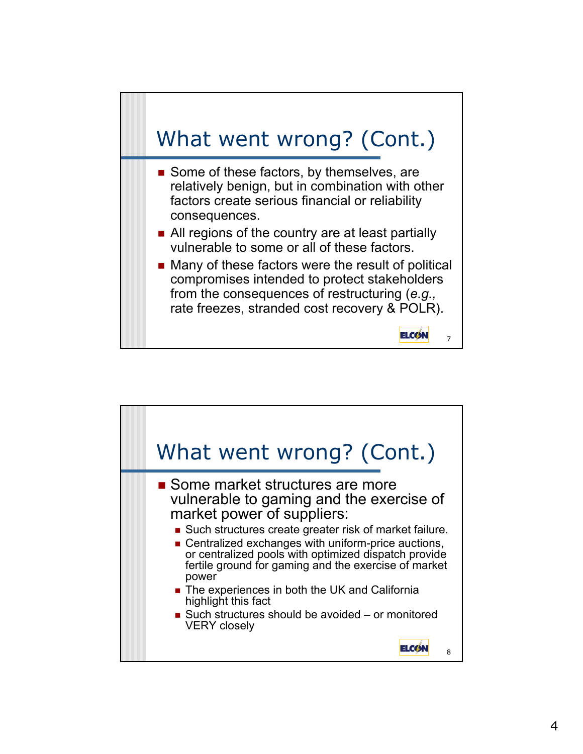

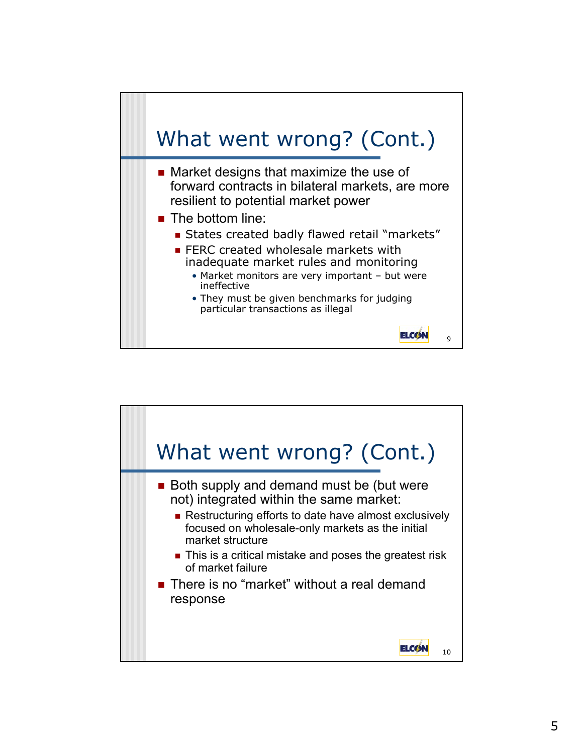

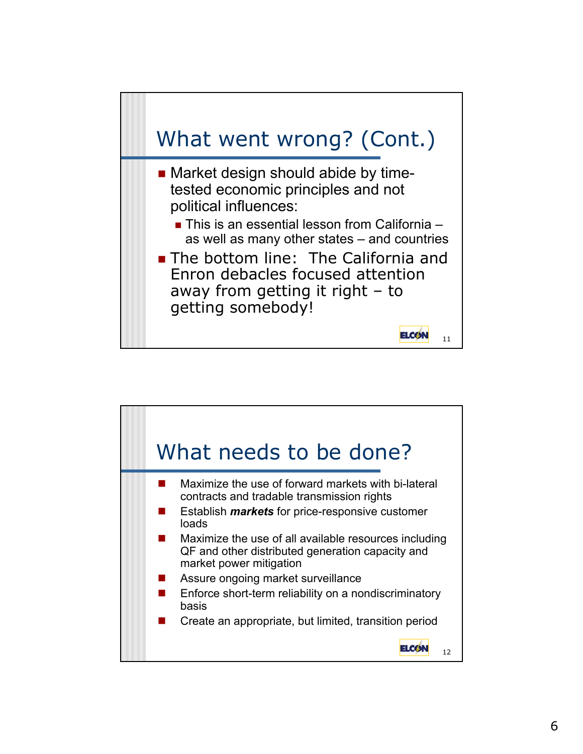

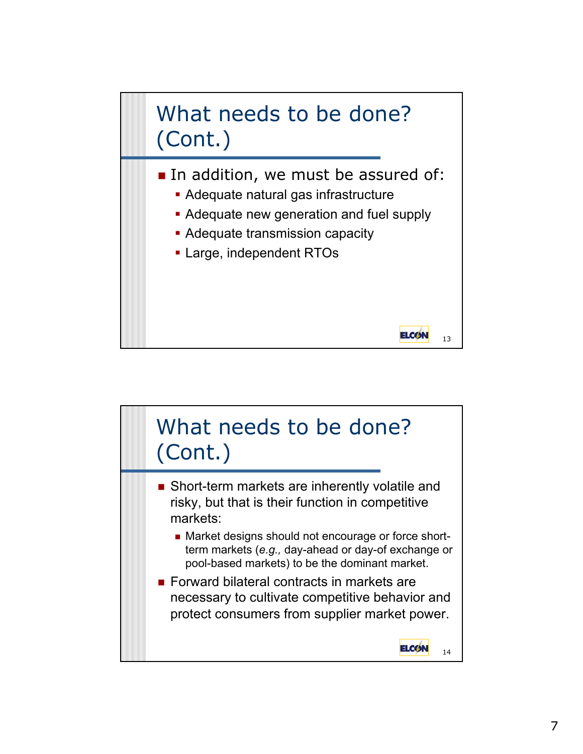

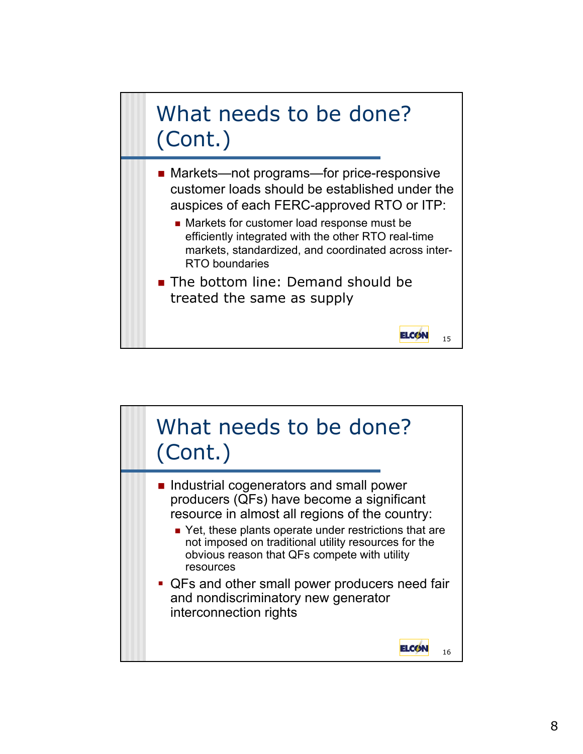## What needs to be done? (Cont.)

- Markets—not programs—for price-responsive customer loads should be established under the auspices of each FERC-approved RTO or ITP:
	- Markets for customer load response must be efficiently integrated with the other RTO real-time markets, standardized, and coordinated across inter-RTO boundaries

15

**ELCON** 

**The bottom line: Demand should be** treated the same as supply

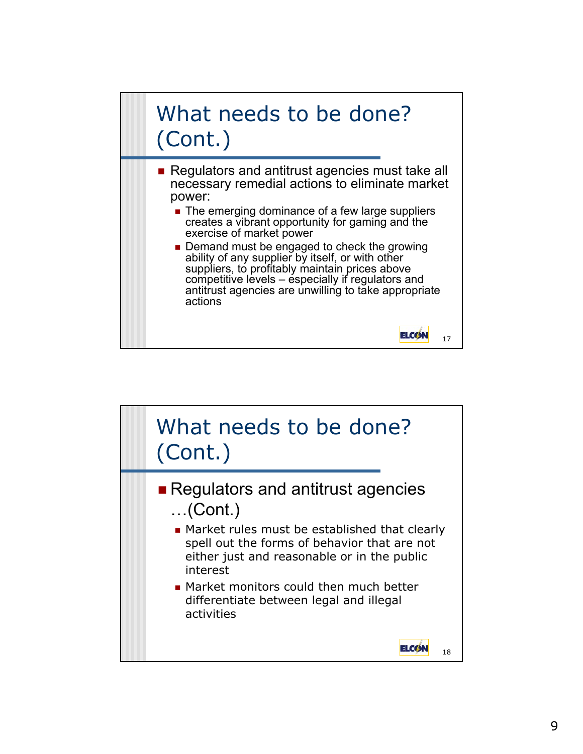

- Regulators and antitrust agencies must take all necessary remedial actions to eliminate market power:
	- **The emerging dominance of a few large suppliers** creates a vibrant opportunity for gaming and the exercise of market power
	- Demand must be engaged to check the growing ability of any supplier by itself, or with other suppliers, to profitably maintain prices above competitive levels – especially if regulators and antitrust agencies are unwilling to take appropriate actions

17

**ELCON** 

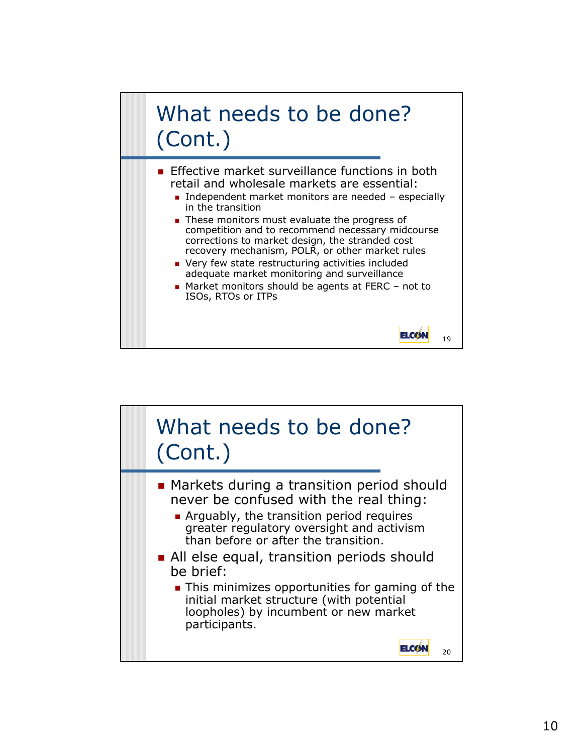## What needs to be done? (Cont.)

- **Effective market surveillance functions in both** retail and wholesale markets are essential:
	- Independent market monitors are needed  $-$  especially in the transition
	- **These monitors must evaluate the progress of** competition and to recommend necessary midcourse corrections to market design, the stranded cost recovery mechanism, POLR, or other market rules
	- **Very few state restructuring activities included** adequate market monitoring and surveillance
	- Market monitors should be agents at FERC not to ISOs, RTOs or ITPs

19

**ELCON** 

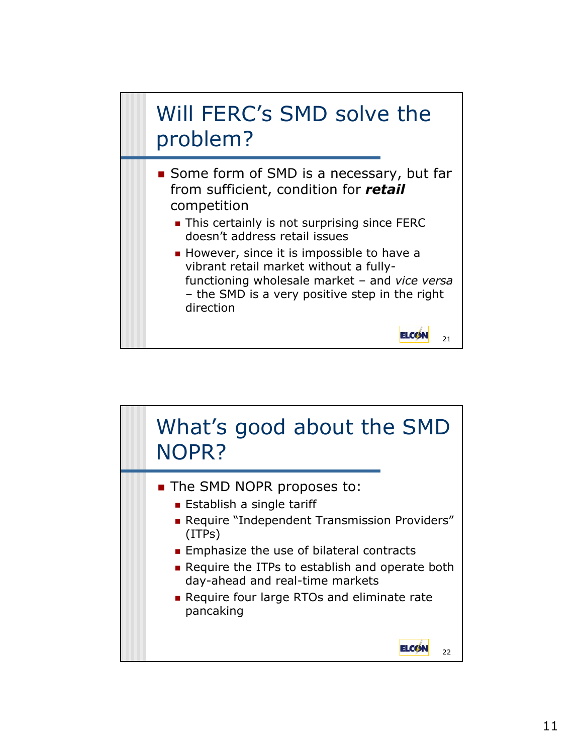

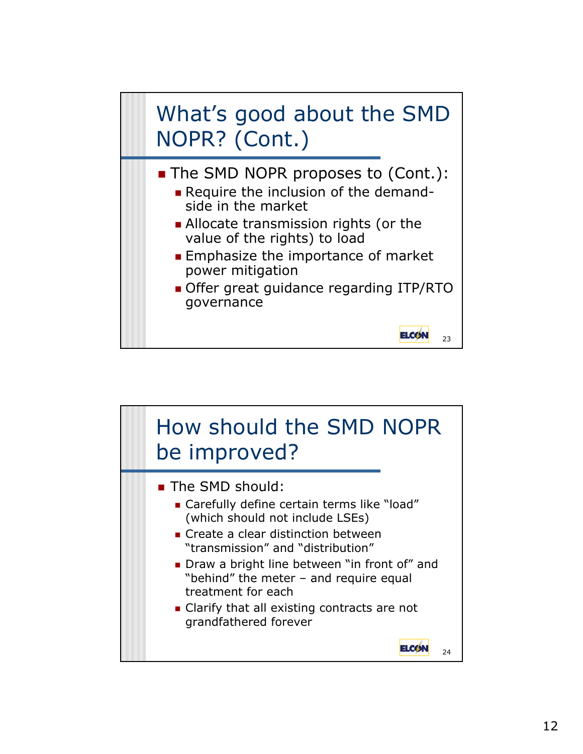

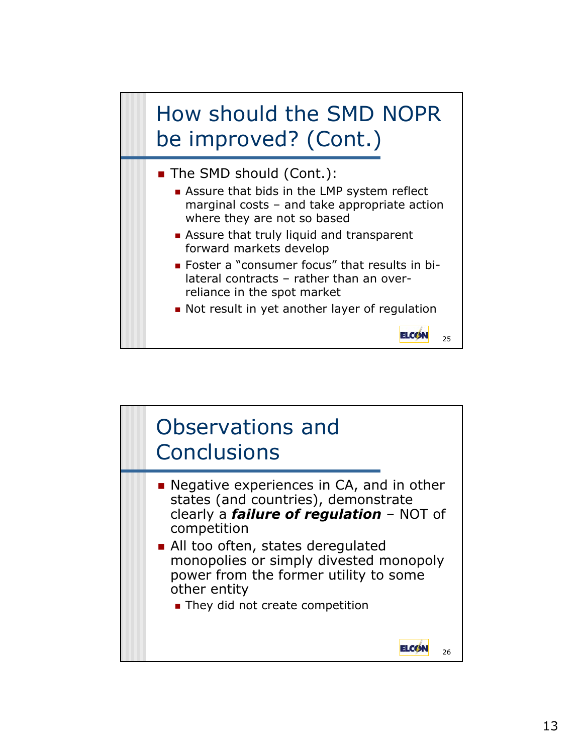